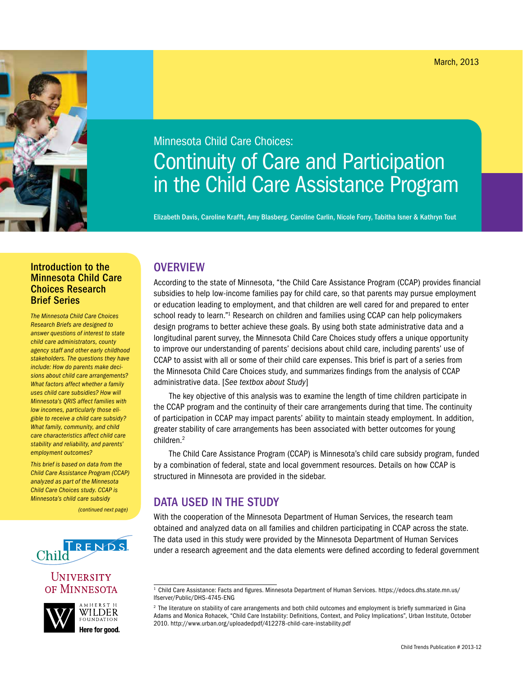# Minnesota Child Care Choices: Continuity of Care and Participation in the Child Care Assistance Program

Elizabeth Davis, Caroline Krafft, Amy Blasberg, Caroline Carlin, Nicole Forry, Tabitha Isner & Kathryn Tout

# Introduction to the Minnesota Child Care Choices Research Brief Series

*The Minnesota Child Care Choices Research Briefs are designed to answer questions of interest to state child care administrators, county agency staff and other early childhood stakeholders. The questions they have include: How do parents make decisions about child care arrangements? What factors affect whether a family uses child care subsidies? How will Minnesota's QRIS affect families with low incomes, particularly those eligible to receive a child care subsidy? What family, community, and child care characteristics affect child care stability and reliability, and parents' employment outcomes?*

*This brief is based on data from the Child Care Assistance Program (CCAP) analyzed as part of the Minnesota Child Care Choices study. CCAP is Minnesota's child care subsidy* 

*(continued next page)*



### UNIVERSITY OF MINNESOTA



# **OVERVIEW**

According to the state of Minnesota, "the Child Care Assistance Program (CCAP) provides financial subsidies to help low-income families pay for child care, so that parents may pursue employment or education leading to employment, and that children are well cared for and prepared to enter school ready to learn."<sup>1</sup> Research on children and families using CCAP can help policymakers design programs to better achieve these goals. By using both state administrative data and a longitudinal parent survey, the Minnesota Child Care Choices study offers a unique opportunity to improve our understanding of parents' decisions about child care, including parents' use of CCAP to assist with all or some of their child care expenses. This brief is part of a series from the Minnesota Child Care Choices study, and summarizes findings from the analysis of CCAP administrative data. [*See textbox about Study*]

The key objective of this analysis was to examine the length of time children participate in the CCAP program and the continuity of their care arrangements during that time. The continuity of participation in CCAP may impact parents' ability to maintain steady employment. In addition, greater stability of care arrangements has been associated with better outcomes for young children.2

The Child Care Assistance Program (CCAP) is Minnesota's child care subsidy program, funded by a combination of federal, state and local government resources. Details on how CCAP is structured in Minnesota are provided in the sidebar.

# DATA USED IN THE STUDY

With the cooperation of the Minnesota Department of Human Services, the research team obtained and analyzed data on all families and children participating in CCAP across the state. The data used in this study were provided by the Minnesota Department of Human Services under a research agreement and the data elements were defined according to federal government

<sup>1</sup> Child Care Assistance: Facts and figures. Minnesota Department of Human Services. https://edocs.dhs.state.mn.us/ lfserver/Public/DHS-4745-ENG

<sup>&</sup>lt;sup>2</sup> The literature on stability of care arrangements and both child outcomes and employment is briefly summarized in Gina Adams and Monica Rohacek, "Child Care Instability: Definitions, Context, and Policy Implications", Urban Institute, October 2010. http://www.urban.org/uploadedpdf/412278-child-care-instability.pdf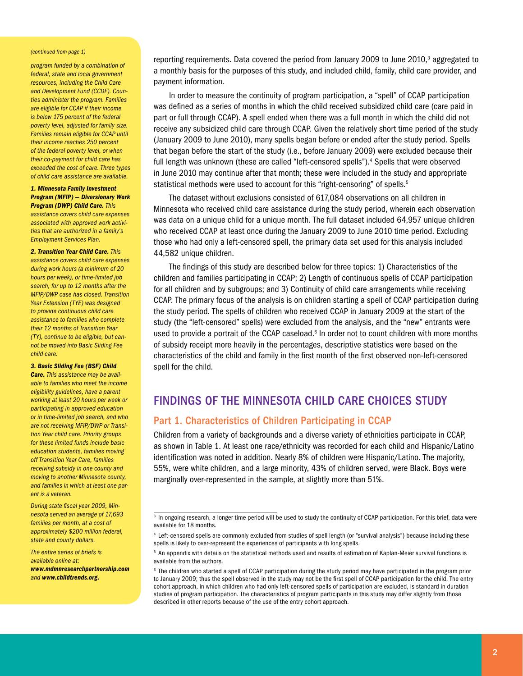#### *(continued from page 1)*

*program funded by a combination of federal, state and local government resources, including the Child Care and Development Fund (CCDF). Counties administer the program. Families are eligible for CCAP if their income is below 175 percent of the federal poverty level, adjusted for family size. Families remain eligible for CCAP until their income reaches 250 percent of the federal poverty level, or when their co-payment for child care has exceeded the cost of care. Three types of child care assistance are available.*

*1. Minnesota Family Investment Program (MFIP) — Diversionary Work Program (DWP) Child Care. This assistance covers child care expenses associated with approved work activities that are authorized in a family's Employment Services Plan.*

*2. Transition Year Child Care. This assistance covers child care expenses during work hours (a minimum of 20 hours per week), or time-limited job search, for up to 12 months after the MFIP/DWP case has closed. Transition Year Extension (TYE) was designed to provide continuous child care assistance to families who complete their 12 months of Transition Year (TY), continue to be eligible, but cannot be moved into Basic Sliding Fee child care.*

#### *3. Basic Sliding Fee (BSF) Child*

*Care. This assistance may be available to families who meet the income eligibility guidelines, have a parent working at least 20 hours per week or participating in approved education or in time-limited job search, and who are not receiving MFIP/DWP or Transition Year child care. Priority groups for these limited funds include basic education students, families moving off Transition Year Care, families receiving subsidy in one county and moving to another Minnesota county, and families in which at least one parent is a veteran.*

*During state fiscal year 2009, Minnesota served an average of 17,693 families per month, at a cost of approximately \$200 million federal, state and county dollars.*

*The entire series of briefs is available online at: www.mdmnresearchpartnership.com and www.childtrends.org.*

reporting requirements. Data covered the period from January 2009 to June 2010,<sup>3</sup> aggregated to a monthly basis for the purposes of this study, and included child, family, child care provider, and payment information.

In order to measure the continuity of program participation, a "spell" of CCAP participation was defined as a series of months in which the child received subsidized child care (care paid in part or full through CCAP). A spell ended when there was a full month in which the child did not receive any subsidized child care through CCAP. Given the relatively short time period of the study (January 2009 to June 2010), many spells began before or ended after the study period. Spells that began before the start of the study (i.e., before January 2009) were excluded because their full length was unknown (these are called "left-censored spells").<sup>4</sup> Spells that were observed in June 2010 may continue after that month; these were included in the study and appropriate statistical methods were used to account for this "right-censoring" of spells.<sup>5</sup>

The dataset without exclusions consisted of 617,084 observations on all children in Minnesota who received child care assistance during the study period, wherein each observation was data on a unique child for a unique month. The full dataset included 64,957 unique children who received CCAP at least once during the January 2009 to June 2010 time period. Excluding those who had only a left-censored spell, the primary data set used for this analysis included 44,582 unique children.

The findings of this study are described below for three topics: 1) Characteristics of the children and families participating in CCAP; 2) Length of continuous spells of CCAP participation for all children and by subgroups; and 3) Continuity of child care arrangements while receiving CCAP. The primary focus of the analysis is on children starting a spell of CCAP participation during the study period. The spells of children who received CCAP in January 2009 at the start of the study (the "left-censored" spells) were excluded from the analysis, and the "new" entrants were used to provide a portrait of the CCAP caseload.<sup>6</sup> In order not to count children with more months of subsidy receipt more heavily in the percentages, descriptive statistics were based on the characteristics of the child and family in the first month of the first observed non-left-censored spell for the child.

# Findings of the Minnesota Child Care Choices Study

### Part 1. Characteristics of Children Participating in CCAP

Children from a variety of backgrounds and a diverse variety of ethnicities participate in CCAP, as shown in Table 1. At least one race/ethnicity was recorded for each child and Hispanic/Latino identification was noted in addition. Nearly 8% of children were Hispanic/Latino. The majority, 55%, were white children, and a large minority, 43% of children served, were Black. Boys were marginally over-represented in the sample, at slightly more than 51%.

 $\frac{3}{3}$  In ongoing research, a longer time period will be used to study the continuity of CCAP participation. For this brief, data were available for 18 months.

<sup>4</sup> Left-censored spells are commonly excluded from studies of spell length (or "survival analysis") because including these spells is likely to over-represent the experiences of participants with long spells.

<sup>&</sup>lt;sup>5</sup> An appendix with details on the statistical methods used and results of estimation of Kaplan-Meier survival functions is available from the authors.

 $6$  The children who started a spell of CCAP participation during the study period may have participated in the program prior to January 2009; thus the spell observed in the study may not be the first spell of CCAP participation for the child. The entry cohort approach, in which children who had only left-censored spells of participation are excluded, is standard in duration studies of program participation. The characteristics of program participants in this study may differ slightly from those described in other reports because of the use of the entry cohort approach.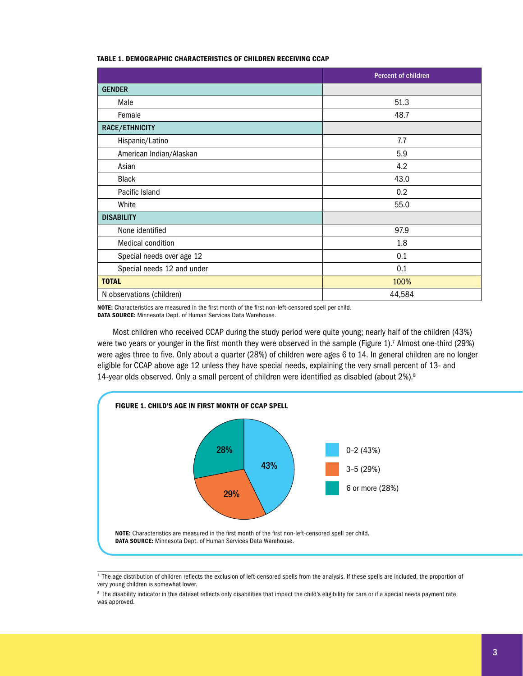#### Table 1. Demographic Characteristics of Children Receiving CCAP

|                            | <b>Percent of children</b> |
|----------------------------|----------------------------|
| <b>GENDER</b>              |                            |
| Male                       | 51.3                       |
| Female                     | 48.7                       |
| RACE/ETHNICITY             |                            |
| Hispanic/Latino            | 7.7                        |
| American Indian/Alaskan    | 5.9                        |
| Asian                      | 4.2                        |
| Black                      | 43.0                       |
| Pacific Island             | 0.2                        |
| White                      | 55.0                       |
| <b>DISABILITY</b>          |                            |
| None identified            | 97.9                       |
| <b>Medical condition</b>   | 1.8                        |
| Special needs over age 12  | 0.1                        |
| Special needs 12 and under | 0.1                        |
| <b>TOTAL</b>               | 100%                       |
| N observations (children)  | 44,584                     |

NOTE: Characteristics are measured in the first month of the first non-left-censored spell per child.

DATA SOURCE: Minnesota Dept. of Human Services Data Warehouse.

Most children who received CCAP during the study period were quite young; nearly half of the children (43%) were two years or younger in the first month they were observed in the sample (Figure 1).<sup>7</sup> Almost one-third (29%) were ages three to five. Only about a quarter (28%) of children were ages 6 to 14. In general children are no longer eligible for CCAP above age 12 unless they have special needs, explaining the very small percent of 13- and 14-year olds observed. Only a small percent of children were identified as disabled (about 2%).<sup>8</sup>



 $\frac{7}{7}$  The age distribution of children reflects the exclusion of left-censored spells from the analysis. If these spells are included, the proportion of very young children is somewhat lower.

<sup>&</sup>lt;sup>8</sup> The disability indicator in this dataset reflects only disabilities that impact the child's eligibility for care or if a special needs payment rate was approved.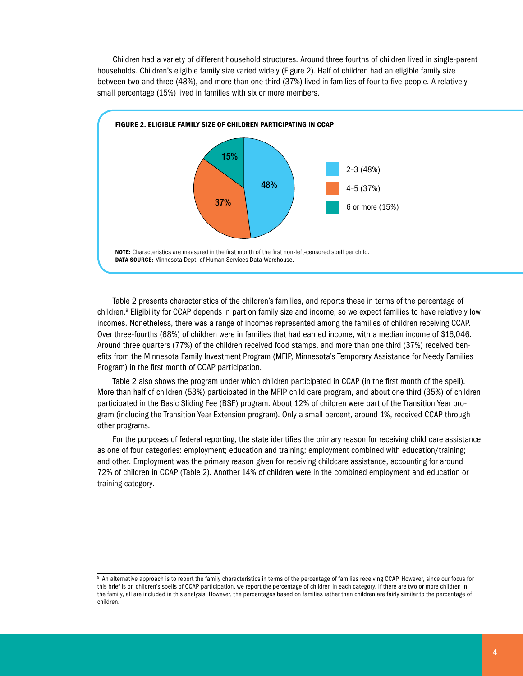Children had a variety of different household structures. Around three fourths of children lived in single-parent households. Children's eligible family size varied widely (Figure 2). Half of children had an eligible family size between two and three (48%), and more than one third (37%) lived in families of four to five people. A relatively small percentage (15%) lived in families with six or more members.



Table 2 presents characteristics of the children's families, and reports these in terms of the percentage of children.<sup>9</sup> Eligibility for CCAP depends in part on family size and income, so we expect families to have relatively low incomes. Nonetheless, there was a range of incomes represented among the families of children receiving CCAP. Over three-fourths (68%) of children were in families that had earned income, with a median income of \$16,046. Around three quarters (77%) of the children received food stamps, and more than one third (37%) received benefits from the Minnesota Family Investment Program (MFIP, Minnesota's Temporary Assistance for Needy Families Program) in the first month of CCAP participation.

Table 2 also shows the program under which children participated in CCAP (in the first month of the spell). More than half of children (53%) participated in the MFIP child care program, and about one third (35%) of children participated in the Basic Sliding Fee (BSF) program. About 12% of children were part of the Transition Year program (including the Transition Year Extension program). Only a small percent, around 1%, received CCAP through other programs.

For the purposes of federal reporting, the state identifies the primary reason for receiving child care assistance as one of four categories: employment; education and training; employment combined with education/training; and other. Employment was the primary reason given for receiving childcare assistance, accounting for around 72% of children in CCAP (Table 2). Another 14% of children were in the combined employment and education or training category.

<sup>&</sup>lt;sup>9</sup> An alternative approach is to report the family characteristics in terms of the percentage of families receiving CCAP. However, since our focus for this brief is on children's spells of CCAP participation, we report the percentage of children in each category. If there are two or more children in the family, all are included in this analysis. However, the percentages based on families rather than children are fairly similar to the percentage of children.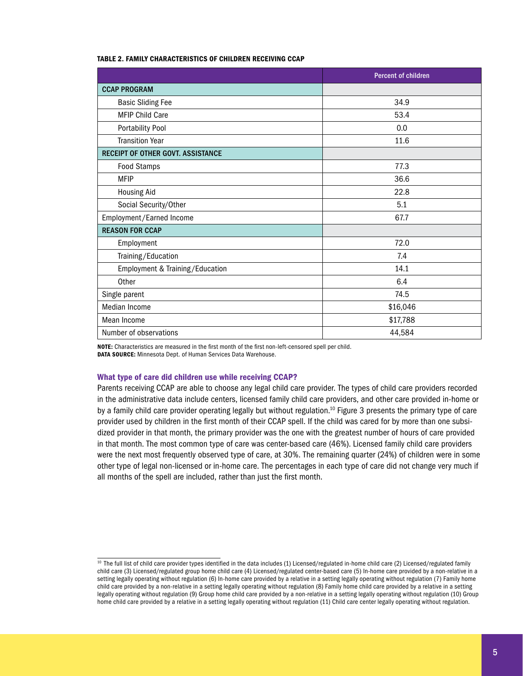#### Table 2. Family Characteristics of Children Receiving CCAP

|                                          | <b>Percent of children</b> |
|------------------------------------------|----------------------------|
| <b>CCAP PROGRAM</b>                      |                            |
| <b>Basic Sliding Fee</b>                 | 34.9                       |
| <b>MFIP Child Care</b>                   | 53.4                       |
| <b>Portability Pool</b>                  | 0.0                        |
| <b>Transition Year</b>                   | 11.6                       |
| <b>RECEIPT OF OTHER GOVT. ASSISTANCE</b> |                            |
| <b>Food Stamps</b>                       | 77.3                       |
| <b>MFIP</b>                              | 36.6                       |
| <b>Housing Aid</b>                       | 22.8                       |
| Social Security/Other                    | 5.1                        |
| Employment/Earned Income                 | 67.7                       |
| <b>REASON FOR CCAP</b>                   |                            |
| Employment                               | 72.0                       |
| Training/Education                       | 7.4                        |
| Employment & Training/Education          | 14.1                       |
| Other                                    | 6.4                        |
| Single parent                            | 74.5                       |
| Median Income                            | \$16,046                   |
| Mean Income                              | \$17,788                   |
| Number of observations                   | 44,584                     |

NOTE: Characteristics are measured in the first month of the first non-left-censored spell per child. DATA SOURCE: Minnesota Dept. of Human Services Data Warehouse.

#### What type of care did children use while receiving CCAP?

Parents receiving CCAP are able to choose any legal child care provider. The types of child care providers recorded in the administrative data include centers, licensed family child care providers, and other care provided in-home or by a family child care provider operating legally but without regulation.10 Figure 3 presents the primary type of care provider used by children in the first month of their CCAP spell. If the child was cared for by more than one subsidized provider in that month, the primary provider was the one with the greatest number of hours of care provided in that month. The most common type of care was center-based care (46%). Licensed family child care providers were the next most frequently observed type of care, at 30%. The remaining quarter (24%) of children were in some other type of legal non-licensed or in-home care. The percentages in each type of care did not change very much if all months of the spell are included, rather than just the first month.

<sup>&</sup>lt;sup>10</sup> The full list of child care provider types identified in the data includes (1) Licensed/regulated in-home child care (2) Licensed/regulated family child care (3) Licensed/regulated group home child care (4) Licensed/regulated center-based care (5) In-home care provided by a non-relative in a setting legally operating without regulation (6) In-home care provided by a relative in a setting legally operating without regulation (7) Family home child care provided by a non-relative in a setting legally operating without regulation (8) Family home child care provided by a relative in a setting legally operating without regulation (9) Group home child care provided by a non-relative in a setting legally operating without regulation (10) Group home child care provided by a relative in a setting legally operating without regulation (11) Child care center legally operating without regulation.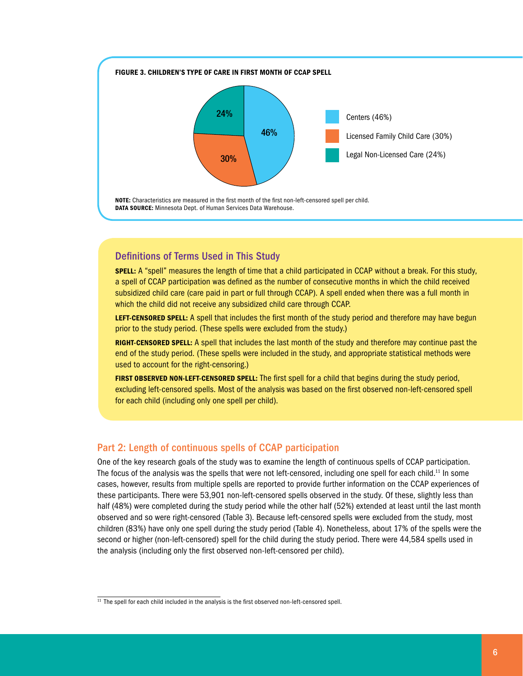

# Definitions of Terms Used in This Study

**SPELL:** A "spell" measures the length of time that a child participated in CCAP without a break. For this study, a spell of CCAP participation was defined as the number of consecutive months in which the child received subsidized child care (care paid in part or full through CCAP). A spell ended when there was a full month in which the child did not receive any subsidized child care through CCAP.

LEFT-CENSORED SPELL: A spell that includes the first month of the study period and therefore may have begun prior to the study period. (These spells were excluded from the study.)

RIGHT-CENSORED SPELL: A spell that includes the last month of the study and therefore may continue past the end of the study period. (These spells were included in the study, and appropriate statistical methods were used to account for the right-censoring.)

FIRST OBSERVED NON-LEFT-CENSORED SPELL: The first spell for a child that begins during the study period, excluding left-censored spells. Most of the analysis was based on the first observed non-left-censored spell for each child (including only one spell per child).

### Part 2: Length of continuous spells of CCAP participation

One of the key research goals of the study was to examine the length of continuous spells of CCAP participation. The focus of the analysis was the spells that were not left-censored, including one spell for each child.11 In some cases, however, results from multiple spells are reported to provide further information on the CCAP experiences of these participants. There were 53,901 non-left-censored spells observed in the study. Of these, slightly less than half (48%) were completed during the study period while the other half (52%) extended at least until the last month observed and so were right-censored (Table 3). Because left-censored spells were excluded from the study, most children (83%) have only one spell during the study period (Table 4). Nonetheless, about 17% of the spells were the second or higher (non-left-censored) spell for the child during the study period. There were 44,584 spells used in the analysis (including only the first observed non-left-censored per child).

<sup>&</sup>lt;sup>11</sup> The spell for each child included in the analysis is the first observed non-left-censored spell.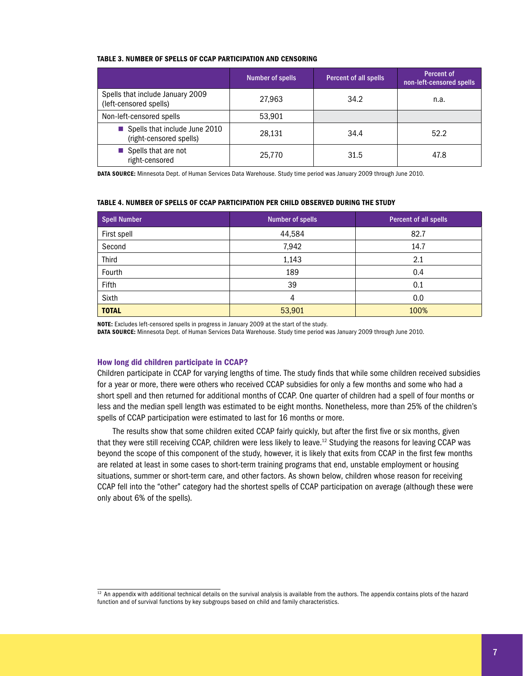#### Table 3. Number of Spells of CCAP Participation and Censoring

|                                                            | Number of spells | <b>Percent of all spells</b> | Percent of<br>non-left-censored spells |
|------------------------------------------------------------|------------------|------------------------------|----------------------------------------|
| Spells that include January 2009<br>(left-censored spells) | 27,963           | 34.2                         | n.a.                                   |
| Non-left-censored spells                                   | 53,901           |                              |                                        |
| Spells that include June 2010<br>(right-censored spells)   | 28,131           | 34.4                         | 52.2                                   |
| Spells that are not<br>right-censored                      | 25.770           | 31.5                         | 47.8                                   |

DATA SOURCE: Minnesota Dept. of Human Services Data Warehouse. Study time period was January 2009 through June 2010.

#### Table 4. Number of Spells of CCAP Participation Per Child Observed During the Study

| <b>Spell Number</b> | <b>Number of spells</b> | Percent of all spells |
|---------------------|-------------------------|-----------------------|
| First spell         | 44,584                  | 82.7                  |
| Second              | 7,942                   | 14.7                  |
| <b>Third</b>        | 1,143                   | 2.1                   |
| Fourth              | 189                     | 0.4                   |
| Fifth               | 39                      | 0.1                   |
| Sixth               | 4                       | 0.0                   |
| <b>TOTAL</b>        | 53,901                  | 100%                  |

NOTE: Excludes left-censored spells in progress in January 2009 at the start of the study.

DATA SOURCE: Minnesota Dept. of Human Services Data Warehouse. Study time period was January 2009 through June 2010.

#### How long did children participate in CCAP?

Children participate in CCAP for varying lengths of time. The study finds that while some children received subsidies for a year or more, there were others who received CCAP subsidies for only a few months and some who had a short spell and then returned for additional months of CCAP. One quarter of children had a spell of four months or less and the median spell length was estimated to be eight months. Nonetheless, more than 25% of the children's spells of CCAP participation were estimated to last for 16 months or more.

The results show that some children exited CCAP fairly quickly, but after the first five or six months, given that they were still receiving CCAP, children were less likely to leave.12 Studying the reasons for leaving CCAP was beyond the scope of this component of the study, however, it is likely that exits from CCAP in the first few months are related at least in some cases to short-term training programs that end, unstable employment or housing situations, summer or short-term care, and other factors. As shown below, children whose reason for receiving CCAP fell into the "other" category had the shortest spells of CCAP participation on average (although these were only about 6% of the spells).

 $\frac{12}{12}$  An appendix with additional technical details on the survival analysis is available from the authors. The appendix contains plots of the hazard function and of survival functions by key subgroups based on child and family characteristics.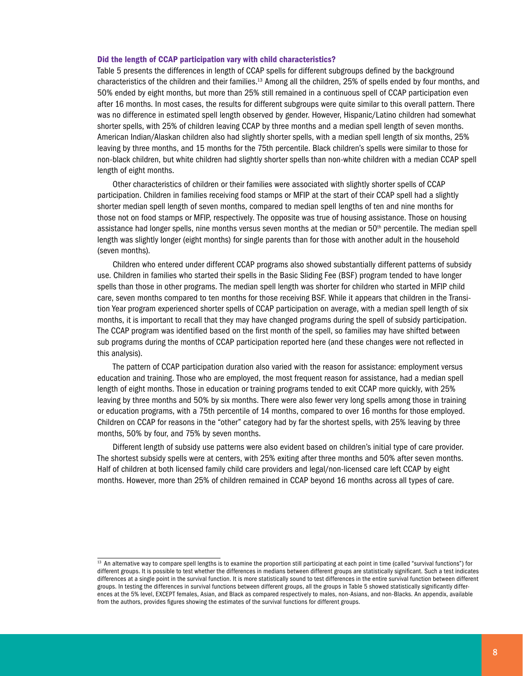#### Did the length of CCAP participation vary with child characteristics?

Table 5 presents the differences in length of CCAP spells for different subgroups defined by the background characteristics of the children and their families.13 Among all the children, 25% of spells ended by four months, and 50% ended by eight months, but more than 25% still remained in a continuous spell of CCAP participation even after 16 months. In most cases, the results for different subgroups were quite similar to this overall pattern. There was no difference in estimated spell length observed by gender. However, Hispanic/Latino children had somewhat shorter spells, with 25% of children leaving CCAP by three months and a median spell length of seven months. American Indian/Alaskan children also had slightly shorter spells, with a median spell length of six months, 25% leaving by three months, and 15 months for the 75th percentile. Black children's spells were similar to those for non-black children, but white children had slightly shorter spells than non-white children with a median CCAP spell length of eight months.

Other characteristics of children or their families were associated with slightly shorter spells of CCAP participation. Children in families receiving food stamps or MFIP at the start of their CCAP spell had a slightly shorter median spell length of seven months, compared to median spell lengths of ten and nine months for those not on food stamps or MFIP, respectively. The opposite was true of housing assistance. Those on housing assistance had longer spells, nine months versus seven months at the median or  $50<sup>th</sup>$  percentile. The median spell length was slightly longer (eight months) for single parents than for those with another adult in the household (seven months).

Children who entered under different CCAP programs also showed substantially different patterns of subsidy use. Children in families who started their spells in the Basic Sliding Fee (BSF) program tended to have longer spells than those in other programs. The median spell length was shorter for children who started in MFIP child care, seven months compared to ten months for those receiving BSF. While it appears that children in the Transition Year program experienced shorter spells of CCAP participation on average, with a median spell length of six months, it is important to recall that they may have changed programs during the spell of subsidy participation. The CCAP program was identified based on the first month of the spell, so families may have shifted between sub programs during the months of CCAP participation reported here (and these changes were not reflected in this analysis).

The pattern of CCAP participation duration also varied with the reason for assistance: employment versus education and training. Those who are employed, the most frequent reason for assistance, had a median spell length of eight months. Those in education or training programs tended to exit CCAP more quickly, with 25% leaving by three months and 50% by six months. There were also fewer very long spells among those in training or education programs, with a 75th percentile of 14 months, compared to over 16 months for those employed. Children on CCAP for reasons in the "other" category had by far the shortest spells, with 25% leaving by three months, 50% by four, and 75% by seven months.

Different length of subsidy use patterns were also evident based on children's initial type of care provider. The shortest subsidy spells were at centers, with 25% exiting after three months and 50% after seven months. Half of children at both licensed family child care providers and legal/non-licensed care left CCAP by eight months. However, more than 25% of children remained in CCAP beyond 16 months across all types of care.

<sup>&</sup>lt;sup>13</sup> An alternative way to compare spell lengths is to examine the proportion still participating at each point in time (called "survival functions") for different groups. It is possible to test whether the differences in medians between different groups are statistically significant. Such a test indicates differences at a single point in the survival function. It is more statistically sound to test differences in the entire survival function between different groups. In testing the differences in survival functions between different groups, all the groups in Table 5 showed statistically significantly differences at the 5% level, EXCEPT females, Asian, and Black as compared respectively to males, non-Asians, and non-Blacks. An appendix, available from the authors, provides figures showing the estimates of the survival functions for different groups.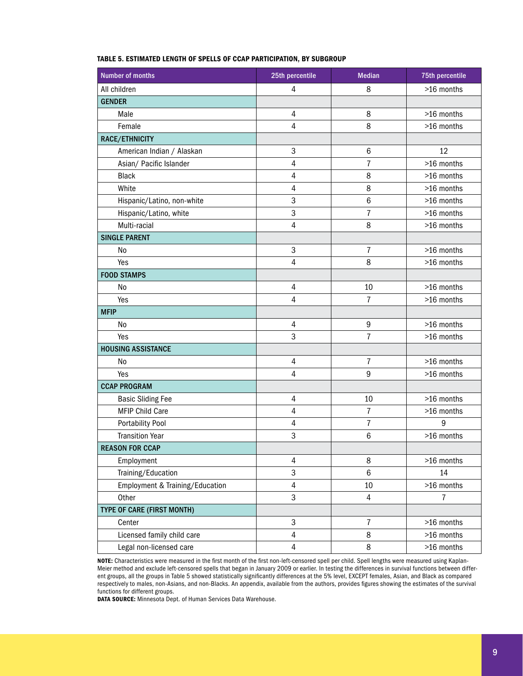| <b>Number of months</b>           | 25th percentile | <b>Median</b>    | 75th percentile |  |
|-----------------------------------|-----------------|------------------|-----------------|--|
| All children                      | 4               | 8                | >16 months      |  |
| <b>GENDER</b>                     |                 |                  |                 |  |
| Male                              | 4               | 8                | >16 months      |  |
| Female                            | 4               | 8                | >16 months      |  |
| RACE/ETHNICITY                    |                 |                  |                 |  |
| American Indian / Alaskan         | 3               | $\,6$            | 12              |  |
| Asian/ Pacific Islander           | 4               | 7                | >16 months      |  |
| <b>Black</b>                      | 4               | 8                | >16 months      |  |
| White                             | 4               | 8                | >16 months      |  |
| Hispanic/Latino, non-white        | 3               | $\,6$            | >16 months      |  |
| Hispanic/Latino, white            | 3               | $\overline{7}$   | >16 months      |  |
| Multi-racial                      | 4               | 8                | >16 months      |  |
| <b>SINGLE PARENT</b>              |                 |                  |                 |  |
| No                                | 3               | $\overline{7}$   | >16 months      |  |
| Yes                               | 4               | 8                | >16 months      |  |
| <b>FOOD STAMPS</b>                |                 |                  |                 |  |
| N <sub>0</sub>                    | 4               | 10               | >16 months      |  |
| Yes                               | 4               | $\overline{7}$   | >16 months      |  |
| <b>MFIP</b>                       |                 |                  |                 |  |
| No                                | $\sqrt{4}$      | $\boldsymbol{9}$ | >16 months      |  |
| Yes                               | 3               | $\overline{7}$   | >16 months      |  |
| <b>HOUSING ASSISTANCE</b>         |                 |                  |                 |  |
| No                                | $\sqrt{4}$      | $\overline{7}$   | >16 months      |  |
| Yes                               | 4               | 9                | >16 months      |  |
| <b>CCAP PROGRAM</b>               |                 |                  |                 |  |
| <b>Basic Sliding Fee</b>          | 4               | 10               | >16 months      |  |
| <b>MFIP Child Care</b>            | 4               | $\overline{7}$   | >16 months      |  |
| <b>Portability Pool</b>           | $\sqrt{4}$      | $\overline{7}$   | 9               |  |
| <b>Transition Year</b>            | 3               | $\,$ 6           | >16 months      |  |
| <b>REASON FOR CCAP</b>            |                 |                  |                 |  |
| Employment                        | 4               | 8                | >16 months      |  |
| Training/Education                | 3               | $6\phantom{1}$   | 14              |  |
| Employment & Training/Education   | 4               | 10               | >16 months      |  |
| Other                             | 3               | $\overline{4}$   | $\overline{7}$  |  |
| <b>TYPE OF CARE (FIRST MONTH)</b> |                 |                  |                 |  |
| Center                            | 3               | $\overline{7}$   | >16 months      |  |
| Licensed family child care        | 4               | 8                | >16 months      |  |
| Legal non-licensed care           | 4               | 8                | >16 months      |  |

#### Table 5. Estimated Length of Spells of CCAP Participation, by Subgroup

NOTE: Characteristics were measured in the first month of the first non-left-censored spell per child. Spell lengths were measured using Kaplan-Meier method and exclude left-censored spells that began in January 2009 or earlier. In testing the differences in survival functions between different groups, all the groups in Table 5 showed statistically significantly differences at the 5% level, EXCEPT females, Asian, and Black as compared respectively to males, non-Asians, and non-Blacks. An appendix, available from the authors, provides figures showing the estimates of the survival functions for different groups.

DATA SOURCE: Minnesota Dept. of Human Services Data Warehouse.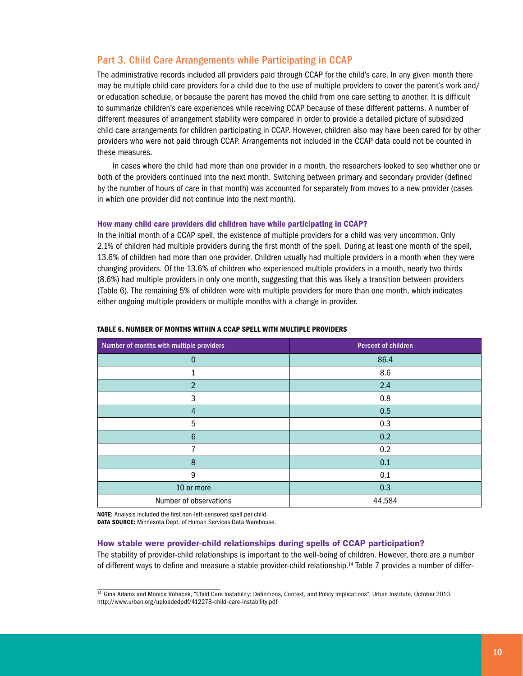## Part 3. Child Care Arrangements while Participating in CCAP

The administrative records included all providers paid through CCAP for the child's care. In any given month there may be multiple child care providers for a child due to the use of multiple providers to cover the parent's work and/ or education schedule, or because the parent has moved the child from one care setting to another. It is difficult to summarize children's care experiences while receiving CCAP because of these different patterns. A number of different measures of arrangement stability were compared in order to provide a detailed picture of subsidized child care arrangements for children participating in CCAP. However, children also may have been cared for by other providers who were not paid through CCAP. Arrangements not included in the CCAP data could not be counted in these measures.

In cases where the child had more than one provider in a month, the researchers looked to see whether one or both of the providers continued into the next month. Switching between primary and secondary provider (defined by the number of hours of care in that month) was accounted for separately from moves to a new provider (cases in which one provider did not continue into the next month).

#### How many child care providers did children have while participating in CCAP?

In the initial month of a CCAP spell, the existence of multiple providers for a child was very uncommon. Only 2.1% of children had multiple providers during the first month of the spell. During at least one month of the spell, 13.6% of children had more than one provider. Children usually had multiple providers in a month when they were changing providers. Of the 13.6% of children who experienced multiple providers in a month, nearly two thirds (8.6%) had multiple providers in only one month, suggesting that this was likely a transition between providers (Table 6). The remaining 5% of children were with multiple providers for more than one month, which indicates either ongoing multiple providers or multiple months with a change in provider.

| Number of months with multiple providers | <b>Percent of children</b> |  |  |
|------------------------------------------|----------------------------|--|--|
| $\mathbf{0}$                             | 86.4                       |  |  |
| $\mathbf{1}$                             | 8.6                        |  |  |
| $\overline{2}$                           | 2.4                        |  |  |
| $\mathbf{3}$                             | 0.8                        |  |  |
| $\overline{4}$                           | 0.5                        |  |  |
| $\overline{5}$                           | 0.3                        |  |  |
| $6\phantom{1}6$                          | 0.2                        |  |  |
| 7                                        | 0.2                        |  |  |
| 8                                        | 0.1                        |  |  |
| $9\,$                                    | 0.1                        |  |  |
| 10 or more                               | 0.3                        |  |  |
| Number of observations                   | 44,584                     |  |  |

#### Table 6. Number of Months Within a CCAP Spell with Multiple Providers

NOTE: Analysis included the first non-left-censored spell per child.

DATA SOURCE: Minnesota Dept. of Human Services Data Warehouse.

### How stable were provider-child relationships during spells of CCAP participation?

The stability of provider-child relationships is important to the well-being of children. However, there are a number of different ways to define and measure a stable provider-child relationship.14 Table 7 provides a number of differ-

<sup>&</sup>lt;sup>14</sup> Gina Adams and Monica Rohacek, "Child Care Instability: Definitions, Context, and Policy Implications", Urban Institute, October 2010. http://www.urban.org/uploadedpdf/412278-child-care-instability.pdf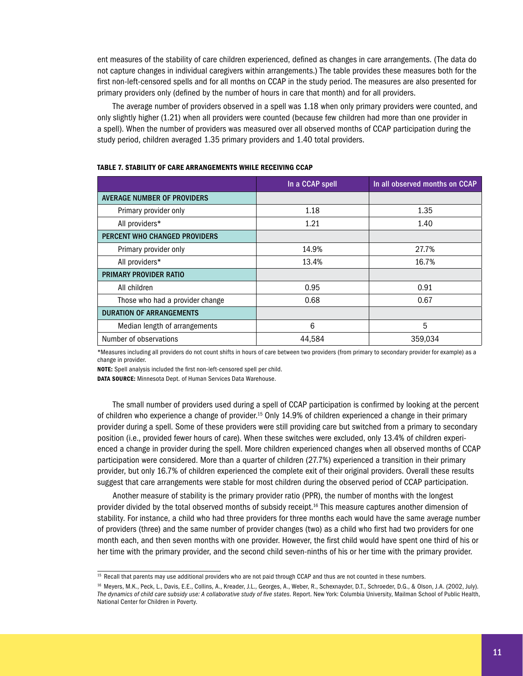ent measures of the stability of care children experienced, defined as changes in care arrangements. (The data do not capture changes in individual caregivers within arrangements.) The table provides these measures both for the first non-left-censored spells and for all months on CCAP in the study period. The measures are also presented for primary providers only (defined by the number of hours in care that month) and for all providers.

The average number of providers observed in a spell was 1.18 when only primary providers were counted, and only slightly higher (1.21) when all providers were counted (because few children had more than one provider in a spell). When the number of providers was measured over all observed months of CCAP participation during the study period, children averaged 1.35 primary providers and 1.40 total providers.

|                                    | In a CCAP spell | In all observed months on CCAP |
|------------------------------------|-----------------|--------------------------------|
| <b>AVERAGE NUMBER OF PROVIDERS</b> |                 |                                |
| Primary provider only              | 1.18            | 1.35                           |
| All providers*                     | 1.21            | 1.40                           |
| PERCENT WHO CHANGED PROVIDERS      |                 |                                |
| Primary provider only              | 14.9%           | 27.7%                          |
| All providers*                     | 13.4%           | 16.7%                          |
| <b>PRIMARY PROVIDER RATIO</b>      |                 |                                |
| All children                       | 0.95            | 0.91                           |
| Those who had a provider change    | 0.68            | 0.67                           |
| <b>DURATION OF ARRANGEMENTS</b>    |                 |                                |
| Median length of arrangements      | 6               | 5                              |
| Number of observations             | 44,584          | 359,034                        |

#### Table 7. Stability of Care Arrangements while Receiving CCAP

\*Measures including all providers do not count shifts in hours of care between two providers (from primary to secondary provider for example) as a change in provider.

NOTE: Spell analysis included the first non-left-censored spell per child.

DATA SOURCE: Minnesota Dept. of Human Services Data Warehouse.

The small number of providers used during a spell of CCAP participation is confirmed by looking at the percent of children who experience a change of provider.15 Only 14.9% of children experienced a change in their primary provider during a spell. Some of these providers were still providing care but switched from a primary to secondary position (i.e., provided fewer hours of care). When these switches were excluded, only 13.4% of children experienced a change in provider during the spell. More children experienced changes when all observed months of CCAP participation were considered. More than a quarter of children (27.7%) experienced a transition in their primary provider, but only 16.7% of children experienced the complete exit of their original providers. Overall these results suggest that care arrangements were stable for most children during the observed period of CCAP participation.

Another measure of stability is the primary provider ratio (PPR), the number of months with the longest provider divided by the total observed months of subsidy receipt.<sup>16</sup> This measure captures another dimension of stability. For instance, a child who had three providers for three months each would have the same average number of providers (three) and the same number of provider changes (two) as a child who first had two providers for one month each, and then seven months with one provider. However, the first child would have spent one third of his or her time with the primary provider, and the second child seven-ninths of his or her time with the primary provider.

<sup>&</sup>lt;sup>15</sup> Recall that parents may use additional providers who are not paid through CCAP and thus are not counted in these numbers.

<sup>16</sup> Meyers, M.K., Peck, L., Davis, E.E., Collins, A., Kreader, J.L., Georges, A., Weber, R., Schexnayder, D.T., Schroeder, D.G., & Olson, J.A. (2002, July). *The dynamics of child care subsidy use: A collaborative study of five states*. Report. New York: Columbia University, Mailman School of Public Health, National Center for Children in Poverty.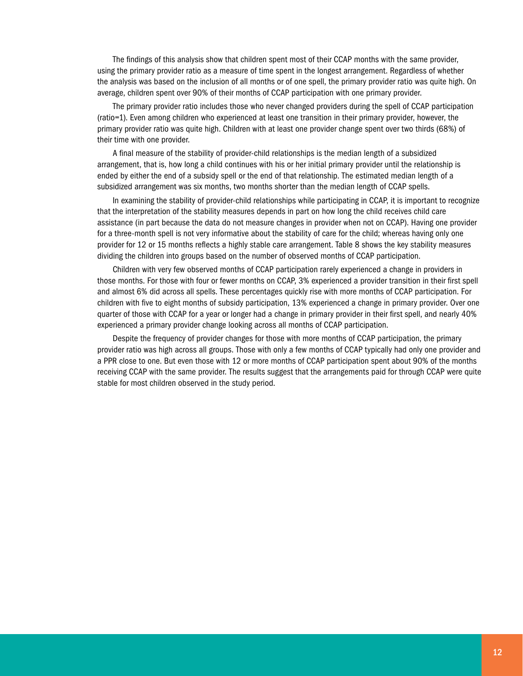The findings of this analysis show that children spent most of their CCAP months with the same provider, using the primary provider ratio as a measure of time spent in the longest arrangement. Regardless of whether the analysis was based on the inclusion of all months or of one spell, the primary provider ratio was quite high. On average, children spent over 90% of their months of CCAP participation with one primary provider.

The primary provider ratio includes those who never changed providers during the spell of CCAP participation (ratio=1). Even among children who experienced at least one transition in their primary provider, however, the primary provider ratio was quite high. Children with at least one provider change spent over two thirds (68%) of their time with one provider.

A final measure of the stability of provider-child relationships is the median length of a subsidized arrangement, that is, how long a child continues with his or her initial primary provider until the relationship is ended by either the end of a subsidy spell or the end of that relationship. The estimated median length of a subsidized arrangement was six months, two months shorter than the median length of CCAP spells.

In examining the stability of provider-child relationships while participating in CCAP, it is important to recognize that the interpretation of the stability measures depends in part on how long the child receives child care assistance (in part because the data do not measure changes in provider when not on CCAP). Having one provider for a three-month spell is not very informative about the stability of care for the child; whereas having only one provider for 12 or 15 months reflects a highly stable care arrangement. Table 8 shows the key stability measures dividing the children into groups based on the number of observed months of CCAP participation.

Children with very few observed months of CCAP participation rarely experienced a change in providers in those months. For those with four or fewer months on CCAP, 3% experienced a provider transition in their first spell and almost 6% did across all spells. These percentages quickly rise with more months of CCAP participation. For children with five to eight months of subsidy participation, 13% experienced a change in primary provider. Over one quarter of those with CCAP for a year or longer had a change in primary provider in their first spell, and nearly 40% experienced a primary provider change looking across all months of CCAP participation.

Despite the frequency of provider changes for those with more months of CCAP participation, the primary provider ratio was high across all groups. Those with only a few months of CCAP typically had only one provider and a PPR close to one. But even those with 12 or more months of CCAP participation spent about 90% of the months receiving CCAP with the same provider. The results suggest that the arrangements paid for through CCAP were quite stable for most children observed in the study period.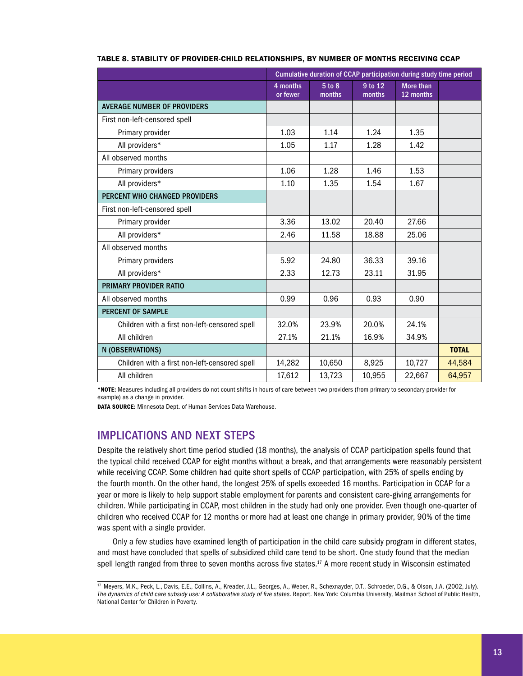|                                               | Cumulative duration of CCAP participation during study time period |                  |                   |                               |              |
|-----------------------------------------------|--------------------------------------------------------------------|------------------|-------------------|-------------------------------|--------------|
|                                               | 4 months<br>or fewer                                               | 5 to 8<br>months | 9 to 12<br>months | <b>More than</b><br>12 months |              |
| <b>AVERAGE NUMBER OF PROVIDERS</b>            |                                                                    |                  |                   |                               |              |
| First non-left-censored spell                 |                                                                    |                  |                   |                               |              |
| Primary provider                              | 1.03                                                               | 1.14             | 1.24              | 1.35                          |              |
| All providers*                                | 1.05                                                               | 1.17             | 1.28              | 1.42                          |              |
| All observed months                           |                                                                    |                  |                   |                               |              |
| Primary providers                             | 1.06                                                               | 1.28             | 1.46              | 1.53                          |              |
| All providers*                                | 1.10                                                               | 1.35             | 1.54              | 1.67                          |              |
| <b>PERCENT WHO CHANGED PROVIDERS</b>          |                                                                    |                  |                   |                               |              |
| First non-left-censored spell                 |                                                                    |                  |                   |                               |              |
| Primary provider                              | 3.36                                                               | 13.02            | 20.40             | 27.66                         |              |
| All providers*                                | 2.46                                                               | 11.58            | 18.88             | 25.06                         |              |
| All observed months                           |                                                                    |                  |                   |                               |              |
| Primary providers                             | 5.92                                                               | 24.80            | 36.33             | 39.16                         |              |
| All providers*                                | 2.33                                                               | 12.73            | 23.11             | 31.95                         |              |
| <b>PRIMARY PROVIDER RATIO</b>                 |                                                                    |                  |                   |                               |              |
| All observed months                           | 0.99                                                               | 0.96             | 0.93              | 0.90                          |              |
| <b>PERCENT OF SAMPLE</b>                      |                                                                    |                  |                   |                               |              |
| Children with a first non-left-censored spell | 32.0%                                                              | 23.9%            | 20.0%             | 24.1%                         |              |
| All children                                  | 27.1%                                                              | 21.1%            | 16.9%             | 34.9%                         |              |
| N (OBSERVATIONS)                              |                                                                    |                  |                   |                               | <b>TOTAL</b> |
| Children with a first non-left-censored spell | 14,282                                                             | 10,650           | 8,925             | 10,727                        | 44,584       |
| All children                                  | 17,612                                                             | 13,723           | 10,955            | 22,667                        | 64,957       |

#### Table 8. Stability of Provider-Child Relationships, by Number of Months Receiving CCAP

\*Note: Measures including all providers do not count shifts in hours of care between two providers (from primary to secondary provider for example) as a change in provider.

DATA SOURCE: Minnesota Dept. of Human Services Data Warehouse.

# Implications and Next Steps

Despite the relatively short time period studied (18 months), the analysis of CCAP participation spells found that the typical child received CCAP for eight months without a break, and that arrangements were reasonably persistent while receiving CCAP. Some children had quite short spells of CCAP participation, with 25% of spells ending by the fourth month. On the other hand, the longest 25% of spells exceeded 16 months. Participation in CCAP for a year or more is likely to help support stable employment for parents and consistent care-giving arrangements for children. While participating in CCAP, most children in the study had only one provider. Even though one-quarter of children who received CCAP for 12 months or more had at least one change in primary provider, 90% of the time was spent with a single provider.

Only a few studies have examined length of participation in the child care subsidy program in different states, and most have concluded that spells of subsidized child care tend to be short. One study found that the median spell length ranged from three to seven months across five states.<sup>17</sup> A more recent study in Wisconsin estimated

<sup>17</sup> Meyers, M.K., Peck, L., Davis, E.E., Collins, A., Kreader, J.L., Georges, A., Weber, R., Schexnayder, D.T., Schroeder, D.G., & Olson, J.A. (2002, July). *The dynamics of child care subsidy use: A collaborative study of five states*. Report. New York: Columbia University, Mailman School of Public Health, National Center for Children in Poverty.